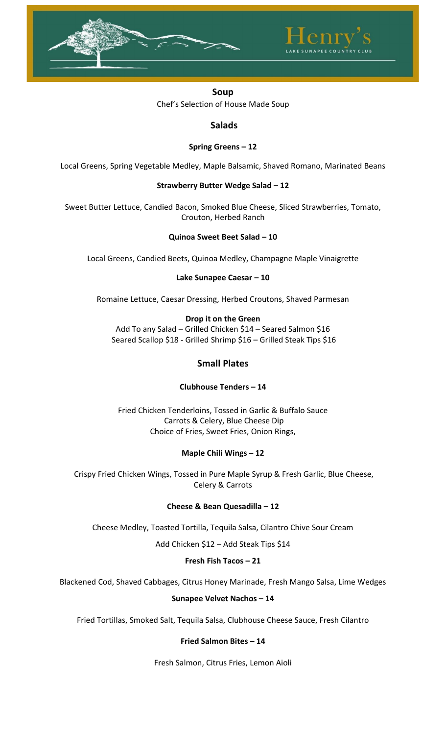



**Salads**

### **Spring Greens – 12**

Local Greens, Spring Vegetable Medley, Maple Balsamic, Shaved Romano, Marinated Beans

### **Strawberry Butter Wedge Salad – 12**

Sweet Butter Lettuce, Candied Bacon, Smoked Blue Cheese, Sliced Strawberries, Tomato, Crouton, Herbed Ranch

### **Quinoa Sweet Beet Salad – 10**

Local Greens, Candied Beets, Quinoa Medley, Champagne Maple Vinaigrette

### **Lake Sunapee Caesar – 10**

Romaine Lettuce, Caesar Dressing, Herbed Croutons, Shaved Parmesan

### **Drop it on the Green**

Add To any Salad – Grilled Chicken \$14 – Seared Salmon \$16 Seared Scallop \$18 - Grilled Shrimp \$16 – Grilled Steak Tips \$16

# **Small Plates**

## **Clubhouse Tenders – 14**

Fried Chicken Tenderloins, Tossed in Garlic & Buffalo Sauce Carrots & Celery, Blue Cheese Dip Choice of Fries, Sweet Fries, Onion Rings,

## **Maple Chili Wings – 12**

Crispy Fried Chicken Wings, Tossed in Pure Maple Syrup & Fresh Garlic, Blue Cheese, Celery & Carrots

## **Cheese & Bean Quesadilla – 12**

Cheese Medley, Toasted Tortilla, Tequila Salsa, Cilantro Chive Sour Cream

Add Chicken \$12 – Add Steak Tips \$14

### **Fresh Fish Tacos – 21**

Blackened Cod, Shaved Cabbages, Citrus Honey Marinade, Fresh Mango Salsa, Lime Wedges

### **Sunapee Velvet Nachos – 14**

Fried Tortillas, Smoked Salt, Tequila Salsa, Clubhouse Cheese Sauce, Fresh Cilantro

### **Fried Salmon Bites – 14**

Fresh Salmon, Citrus Fries, Lemon Aioli